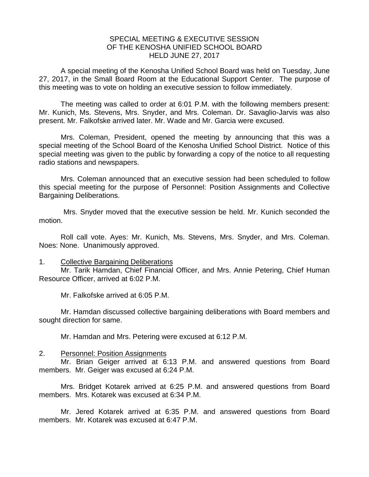## SPECIAL MEETING & EXECUTIVE SESSION OF THE KENOSHA UNIFIED SCHOOL BOARD HELD JUNE 27, 2017

A special meeting of the Kenosha Unified School Board was held on Tuesday, June 27, 2017, in the Small Board Room at the Educational Support Center. The purpose of this meeting was to vote on holding an executive session to follow immediately.

The meeting was called to order at 6:01 P.M. with the following members present: Mr. Kunich, Ms. Stevens, Mrs. Snyder, and Mrs. Coleman. Dr. Savaglio-Jarvis was also present. Mr. Falkofske arrived later. Mr. Wade and Mr. Garcia were excused.

Mrs. Coleman, President, opened the meeting by announcing that this was a special meeting of the School Board of the Kenosha Unified School District. Notice of this special meeting was given to the public by forwarding a copy of the notice to all requesting radio stations and newspapers.

Mrs. Coleman announced that an executive session had been scheduled to follow this special meeting for the purpose of Personnel: Position Assignments and Collective Bargaining Deliberations.

Mrs. Snyder moved that the executive session be held. Mr. Kunich seconded the motion.

Roll call vote. Ayes: Mr. Kunich, Ms. Stevens, Mrs. Snyder, and Mrs. Coleman. Noes: None. Unanimously approved.

## 1. Collective Bargaining Deliberations

Mr. Tarik Hamdan, Chief Financial Officer, and Mrs. Annie Petering, Chief Human Resource Officer, arrived at 6:02 P.M.

Mr. Falkofske arrived at 6:05 P.M.

Mr. Hamdan discussed collective bargaining deliberations with Board members and sought direction for same.

Mr. Hamdan and Mrs. Petering were excused at 6:12 P.M.

## 2. Personnel: Position Assignments

Mr. Brian Geiger arrived at 6:13 P.M. and answered questions from Board members. Mr. Geiger was excused at 6:24 P.M.

Mrs. Bridget Kotarek arrived at 6:25 P.M. and answered questions from Board members. Mrs. Kotarek was excused at 6:34 P.M.

Mr. Jered Kotarek arrived at 6:35 P.M. and answered questions from Board members. Mr. Kotarek was excused at 6:47 P.M.